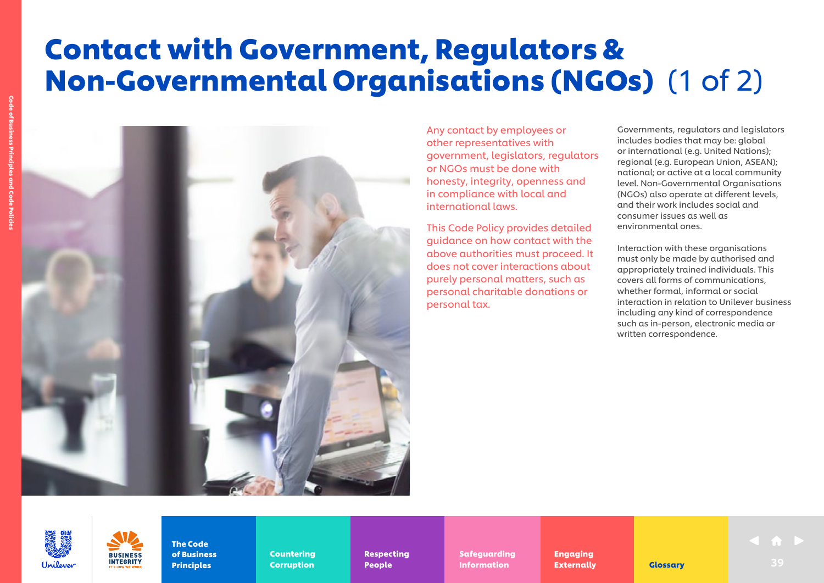## Contact with Government, Regulators & Non-Governmental Organisations (NGOs) (1 of 2)



Any contact by employees or other representatives with government, legislators, regulators or NGOs must be done with honesty, integrity, openness and in compliance with local and international laws.

This Code Policy provides detailed guidance on how contact with the above authorities must proceed. It does not cover interactions about purely personal matters, such as personal charitable donations or personal tax.

Governments, regulators and legislators includes bodies that may be: global or international (e.g. United Nations); regional (e.g. European Union, ASEAN); national; or active at a local community level. Non-Governmental Organisations (NGOs) also operate at different levels, and their work includes social and consumer issues as well as environmental ones.

Interaction with these organisations must only be made by authorised and appropriately trained individuals. This covers all forms of communications, whether formal, informal or social interaction in relation to Unilever business including any kind of correspondence such as in-person, electronic media or written correspondence.

Unilower



**INTEGRITY** 

Countering Countering Corruption Corruption

Respecting Respecting People People

Safeguarding Safeguarding Information **Externally Glossary** 39

Engaging Engaging Externally Externally **Externally Glossary Clossary** 39